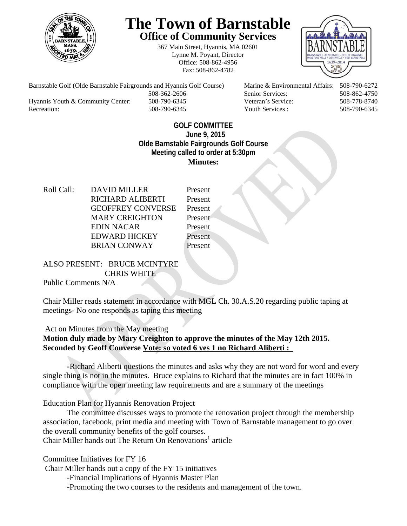

## **The Town of Barnstable Office of Community Services**

367 Main Street, Hyannis, MA 02601 Lynne M. Poyant, Director Office: 508-862-4956 Fax: 508-862-4782



Barnstable Golf (Olde Barnstable Fairgrounds and Hyannis Golf Course) Marine & Environmental Affairs: 508-790-6272 508-362-2606 Senior Services: 508-862-4750 Hyannis Youth & Community Center: 508-790-6345 Veteran's Service: 508-778-8740

Recreation: 508-790-6345 Youth Services : 508-790-6345 S08-790-6345

## **GOLF COMMITTEE June 9, 2015 Olde Barnstable Fairgrounds Golf Course Meeting called to order at 5:30pm Minutes:**

Roll Call: DAVID MILLER Present RICHARD ALIBERTI Present GEOFFREY CONVERSE Present MARY CREIGHTON Present EDIN NACAR Present EDWARD HICKEY Present BRIAN CONWAY Present

ALSO PRESENT: BRUCE MCINTYRE CHRIS WHITE

Public Comments N/A

Chair Miller reads statement in accordance with MGL Ch. 30.A.S.20 regarding public taping at meetings- No one responds as taping this meeting

Act on Minutes from the May meeting

**Motion duly made by Mary Creighton to approve the minutes of the May 12th 2015. Seconded by Geoff Converse Vote: so voted 6 yes 1 no Richard Aliberti :** 

 **-**Richard Aliberti questions the minutes and asks why they are not word for word and every single thing is not in the minutes. Bruce explains to Richard that the minutes are in fact 100% in compliance with the open meeting law requirements and are a summary of the meetings

Education Plan for Hyannis Renovation Project

 The committee discusses ways to promote the renovation project through the membership association, facebook, print media and meeting with Town of Barnstable management to go over the overall community benefits of the golf courses. Chair Miller hands out The Return On Renovations<sup>1</sup> article

Committee Initiatives for FY 16

 Chair Miller hands out a copy of the FY 15 initiatives -Financial Implications of Hyannis Master Plan

-Promoting the two courses to the residents and management of the town.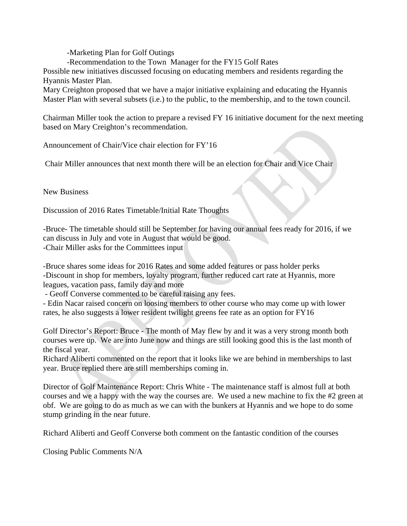-Marketing Plan for Golf Outings

-Recommendation to the Town Manager for the FY15 Golf Rates

Possible new initiatives discussed focusing on educating members and residents regarding the Hyannis Master Plan.

Mary Creighton proposed that we have a major initiative explaining and educating the Hyannis Master Plan with several subsets (i.e.) to the public, to the membership, and to the town council.

Chairman Miller took the action to prepare a revised FY 16 initiative document for the next meeting based on Mary Creighton's recommendation.

Announcement of Chair/Vice chair election for FY'16

Chair Miller announces that next month there will be an election for Chair and Vice Chair

New Business

Discussion of 2016 Rates Timetable/Initial Rate Thoughts

-Bruce- The timetable should still be September for having our annual fees ready for 2016, if we can discuss in July and vote in August that would be good. -Chair Miller asks for the Committees input

-Bruce shares some ideas for 2016 Rates and some added features or pass holder perks -Discount in shop for members, loyalty program, further reduced cart rate at Hyannis, more leagues, vacation pass, family day and more

- Geoff Converse commented to be careful raising any fees.

- Edin Nacar raised concern on loosing members to other course who may come up with lower rates, he also suggests a lower resident twilight greens fee rate as an option for FY16

Golf Director's Report: Bruce - The month of May flew by and it was a very strong month both courses were up. We are into June now and things are still looking good this is the last month of the fiscal year.

Richard Aliberti commented on the report that it looks like we are behind in memberships to last year. Bruce replied there are still memberships coming in.

Director of Golf Maintenance Report: Chris White - The maintenance staff is almost full at both courses and we a happy with the way the courses are. We used a new machine to fix the #2 green at obf. We are going to do as much as we can with the bunkers at Hyannis and we hope to do some stump grinding in the near future.

Richard Aliberti and Geoff Converse both comment on the fantastic condition of the courses

Closing Public Comments N/A